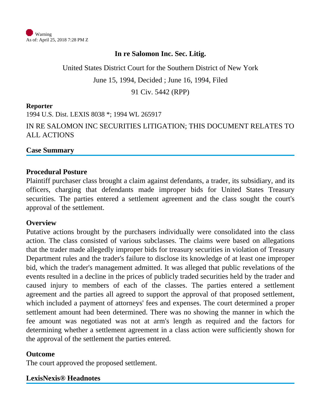

#### **In re Salomon Inc. Sec. Litig.**

United States District Court for the Southern District of New York June 15, 1994, Decided ; June 16, 1994, Filed 91 Civ. 5442 (RPP)

#### **Reporter**

1994 U.S. Dist. LEXIS 8038 \*; 1994 WL 265917 IN RE SALOMON INC SECURITIES LITIGATION; THIS DOCUMENT RELATES TO ALL ACTIONS

#### **Case Summary**

#### **Procedural Posture**

Plaintiff purchaser class brought a claim against defendants, a trader, its subsidiary, and its officers, charging that defendants made improper bids for United States Treasury securities. The parties entered a settlement agreement and the class sought the court's approval of the settlement.

#### **Overview**

Putative actions brought by the purchasers individually were consolidated into the class action. The class consisted of various subclasses. The claims were based on allegations that the trader made allegedly improper bids for treasury securities in violation of Treasury Department rules and the trader's failure to disclose its knowledge of at least one improper bid, which the trader's management admitted. It was alleged that public revelations of the events resulted in a decline in the prices of publicly traded securities held by the trader and caused injury to members of each of the classes. The parties entered a settlement agreement and the parties all agreed to support the approval of that proposed settlement, which included a payment of attorneys' fees and expenses. The court determined a proper settlement amount had been determined. There was no showing the manner in which the fee amount was negotiated was not at arm's length as required and the factors for determining whether a settlement agreement in a class action were sufficiently shown for the approval of the settlement the parties entered.

#### **Outcome**

The court approved the proposed settlement.

**LexisNexis® Headnotes**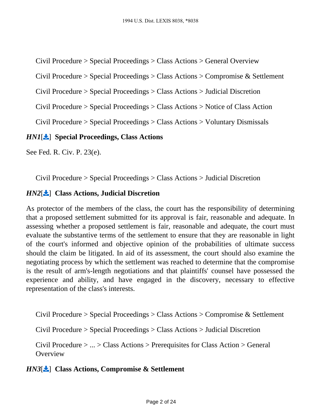<span id="page-1-0"></span>Civil Procedure > Special Proceedings > Class Actions > General Overview

Civil Procedure > Special Proceedings > Class Actions > Compromise & Settlement

Civil Procedure > Special Proceedings > Class Actions > Judicial Discretion

Civil Procedure > Special Proceedings > Class Actions > Notice of Class Action

Civil Procedure > Special Proceedings > Class Actions > Voluntary Dismissals

# *HN1*[ ] **Special Proceedings, Class Actions**

See Fed. R. Civ. P. 23(e).

Civil Procedure > Special Proceedings > Class Actions > Judicial Discretion

# *HN2*[ ] **Class Actions, Judicial Discretion**

As protector of the members of the class, the court has the responsibility of determining that a proposed settlement submitted for its approval is fair, reasonable and adequate. In assessing whether a proposed settlement is fair, reasonable and adequate, the court must evaluate the substantive terms of the settlement to ensure that they are reasonable in light of the court's informed and objective opinion of the probabilities of ultimate success should the claim be litigated. In aid of its assessment, the court should also examine the negotiating process by which the settlement was reached to determine that the compromise is the result of arm's-length negotiations and that plaintiffs' counsel have possessed the experience and ability, and have engaged in the discovery, necessary to effective representation of the class's interests.

Civil Procedure > Special Proceedings > Class Actions > Compromise & Settlement

Civil Procedure > Special Proceedings > Class Actions > Judicial Discretion

Civil Procedure > ... > Class Actions > Prerequisites for Class Action > General **Overview** 

# *HN3*[ ] **Class Actions, Compromise & Settlement**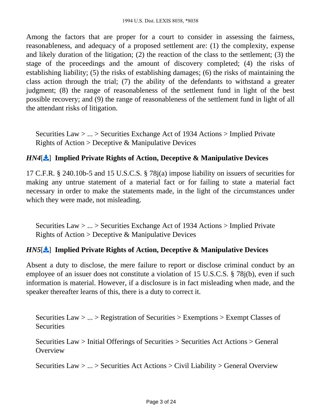Among the factors that are proper for a court to consider in assessing the fairness, reasonableness, and adequacy of a proposed settlement are: (1) the complexity, expense and likely duration of the litigation; (2) the reaction of the class to the settlement; (3) the stage of the proceedings and the amount of discovery completed; (4) the risks of establishing liability; (5) the risks of establishing damages; (6) the risks of maintaining the class action through the trial; (7) the ability of the defendants to withstand a greater judgment; (8) the range of reasonableness of the settlement fund in light of the best possible recovery; and (9) the range of reasonableness of the settlement fund in light of all the attendant risks of litigation.

<span id="page-2-0"></span>Securities Law > ... > Securities Exchange Act of 1934 Actions > Implied Private Rights of Action  $>$  Deceptive & Manipulative Devices

#### *HN4*[ ] **Implied Private Rights of Action, Deceptive & Manipulative Devices**

17 C.F.R. § 240.10b-5 and 15 U.S.C.S. § 78j(a) impose liability on issuers of securities for making any untrue statement of a material fact or for failing to state a material fact necessary in order to make the statements made, in the light of the circumstances under which they were made, not misleading.

Securities Law > ... > Securities Exchange Act of 1934 Actions > Implied Private Rights of Action > Deceptive & Manipulative Devices

# *HN5*[ ] **Implied Private Rights of Action, Deceptive & Manipulative Devices**

Absent a duty to disclose, the mere failure to report or disclose criminal conduct by an employee of an issuer does not constitute a violation of 15 U.S.C.S. § 78j(b), even if such information is material. However, if a disclosure is in fact misleading when made, and the speaker thereafter learns of this, there is a duty to correct it.

<span id="page-2-1"></span>Securities Law > ... > Registration of Securities > Exemptions > Exempt Classes of **Securities** 

Securities Law > Initial Offerings of Securities > Securities Act Actions > General **Overview** 

Securities Law > ... > Securities Act Actions > Civil Liability > General Overview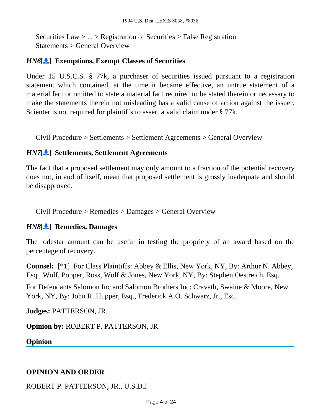Securities Law > ... > Registration of Securities > False Registration Statements > General Overview

#### *HN6*[ ] **Exemptions, Exempt Classes of Securities**

Under 15 U.S.C.S. § 77k, a purchaser of securities issued pursuant to a registration statement which contained, at the time it became effective, an untrue statement of a material fact or omitted to state a material fact required to be stated therein or necessary to make the statements therein not misleading has a valid cause of action against the issuer. Scienter is not required for plaintiffs to assert a valid claim under § 77k.

Civil Procedure > Settlements > Settlement Agreements > General Overview

#### *HN7*[ ] **Settlements, Settlement Agreements**

The fact that a proposed settlement may only amount to a fraction of the potential recovery does not, in and of itself, mean that proposed settlement is grossly inadequate and should be disapproved.

Civil Procedure > Remedies > Damages > General Overview

#### *HN8*[ ] **Remedies, Damages**

The lodestar amount can be useful in testing the propriety of an award based on the percentage of recovery.

**Counsel:** [\*1] For Class Plaintiffs: Abbey & Ellis, New York, NY, By: Arthur N. Abbey, Esq., Wolf, Popper, Ross, Wolf & Jones, New York, NY, By: Stephen Oestreich, Esq.

For Defendants Salomon Inc and Salomon Brothers Inc: Cravath, Swaine & Moore, New York, NY, By: John R. Hupper, Esq., Frederick A.O. Schwarz, Jr., Esq.

**Judges:** PATTERSON, JR.

**Opinion by:** ROBERT P. PATTERSON, JR.

**Opinion**

# **OPINION AND ORDER**

ROBERT P. PATTERSON, JR., U.S.D.J.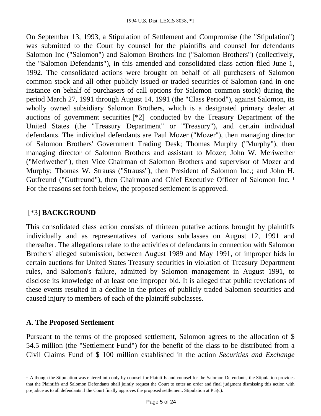On September 13, 1993, a Stipulation of Settlement and Compromise (the "Stipulation") was submitted to the Court by counsel for the plaintiffs and counsel for defendants Salomon Inc ("Salomon") and Salomon Brothers Inc ("Salomon Brothers") (collectively, the "Salomon Defendants"), in this amended and consolidated class action filed June 1, 1992. The consolidated actions were brought on behalf of all purchasers of Salomon common stock and all other publicly issued or traded securities of Salomon (and in one instance on behalf of purchasers of call options for Salomon common stock) during the period March 27, 1991 through August 14, 1991 (the "Class Period"), against Salomon, its wholly owned subsidiary Salomon Brothers, which is a designated primary dealer at auctions of government securities [\*2] conducted by the Treasury Department of the United States (the "Treasury Department" or "Treasury"), and certain individual defendants. The individual defendants are Paul Mozer ("Mozer"), then managing director of Salomon Brothers' Government Trading Desk; Thomas Murphy ("Murphy"), then managing director of Salomon Brothers and assistant to Mozer; John W. Meriwether ("Meriwether"), then Vice Chairman of Salomon Brothers and supervisor of Mozer and Murphy; Thomas W. Strauss ("Strauss"), then President of Salomon Inc.; and John H. Gutfreund ("Gutfreund"), then Chairman and Chief Executive Officer of Salomon Inc. <sup>1</sup> For the reasons set forth below, the proposed settlement is approved.

# [\*3] **BACKGROUND**

This consolidated class action consists of thirteen putative actions brought by plaintiffs individually and as representatives of various subclasses on August 12, 1991 and thereafter. The allegations relate to the activities of defendants in connection with Salomon Brothers' alleged submission, between August 1989 and May 1991, of improper bids in certain auctions for United States Treasury securities in violation of Treasury Department rules, and Salomon's failure, admitted by Salomon management in August 1991, to disclose its knowledge of at least one improper bid. It is alleged that public revelations of these events resulted in a decline in the prices of publicly traded Salomon securities and caused injury to members of each of the plaintiff subclasses.

#### **A. The Proposed Settlement**

Pursuant to the terms of the proposed settlement, Salomon agrees to the allocation of \$ 54.5 million (the "Settlement Fund") for the benefit of the class to be distributed from a Civil Claims Fund of \$ 100 million established in the action *Securities and Exchange* 

<sup>&</sup>lt;sup>1</sup> Although the Stipulation was entered into only by counsel for Plaintiffs and counsel for the Salomon Defendants, the Stipulation provides that the Plaintiffs and Salomon Defendants shall jointly request the Court to enter an order and final judgment dismissing this action with prejudice as to all defendants if the Court finally approves the proposed settlement. Stipulation at P 5(c).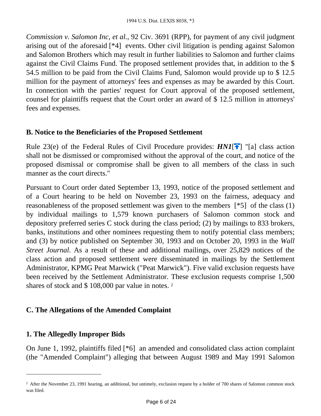*Commission v. Salomon Inc, et al.,* 92 Civ. 3691 (RPP), for payment of any civil judgment arising out of the aforesaid [\*4] events. Other civil litigation is pending against Salomon and Salomon Brothers which may result in further liabilities to Salomon and further claims against the Civil Claims Fund. The proposed settlement provides that, in addition to the \$ 54.5 million to be paid from the Civil Claims Fund, Salomon would provide up to \$ 12.5 million for the payment of attorneys' fees and expenses as may be awarded by this Court. In connection with the parties' request for Court approval of the proposed settlement, counsel for plaintiffs request that the Court order an award of \$ 12.5 million in attorneys' fees and expenses.

#### **B. Notice to the Beneficiaries of the Proposed Settlement**

Rule 23(e) of the Federal Rules of Civil Procedure provides:  $HNI[\hat{\uparrow}]$  $HNI[\hat{\uparrow}]$  "[a] class action shall not be dismissed or compromised without the approval of the court, and notice of the proposed dismissal or compromise shall be given to all members of the class in such manner as the court directs."

Pursuant to Court order dated September 13, 1993, notice of the proposed settlement and of a Court hearing to be held on November 23, 1993 on the fairness, adequacy and reasonableness of the proposed settlement was given to the members [\*5] of the class (1) by individual mailings to 1,579 known purchasers of Salomon common stock and depository preferred series C stock during the class period; (2) by mailings to 833 brokers, banks, institutions and other nominees requesting them to notify potential class members; and (3) by notice published on September 30, 1993 and on October 20, 1993 in the *Wall Street Journal.* As a result of these and additional mailings, over 25,829 notices of the class action and proposed settlement were disseminated in mailings by the Settlement Administrator, KPMG Peat Marwick ("Peat Marwick"). Five valid exclusion requests have been received by the Settlement Administrator. These exclusion requests comprise 1,500 shares of stock and \$108,000 par value in notes.<sup>2</sup>

# **C. The Allegations of the Amended Complaint**

#### **1. The Allegedly Improper Bids**

On June 1, 1992, plaintiffs filed [\*6] an amended and consolidated class action complaint (the "Amended Complaint") alleging that between August 1989 and May 1991 Salomon

<sup>&</sup>lt;sup>2</sup> After the November 23, 1991 hearing, an additional, but untimely, exclusion request by a holder of 700 shares of Salomon common stock was filed.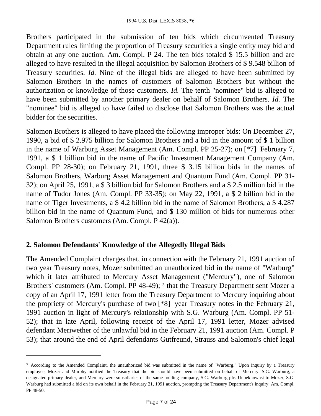Brothers participated in the submission of ten bids which circumvented Treasury Department rules limiting the proportion of Treasury securities a single entity may bid and obtain at any one auction. Am. Compl. P 24. The ten bids totaled \$ 15.5 billion and are alleged to have resulted in the illegal acquisition by Salomon Brothers of \$ 9.548 billion of Treasury securities. *Id.* Nine of the illegal bids are alleged to have been submitted by Salomon Brothers in the names of customers of Salomon Brothers but without the authorization or knowledge of those customers. *Id.* The tenth "nominee" bid is alleged to have been submitted by another primary dealer on behalf of Salomon Brothers. *Id.* The "nominee" bid is alleged to have failed to disclose that Salomon Brothers was the actual bidder for the securities.

Salomon Brothers is alleged to have placed the following improper bids: On December 27, 1990, a bid of \$ 2.975 billion for Salomon Brothers and a bid in the amount of \$ 1 billion in the name of Warburg Asset Management (Am. Compl. PP 25-27); on [\*7] February 7, 1991, a \$ 1 billion bid in the name of Pacific Investment Management Company (Am. Compl. PP 28-30); on February 21, 1991, three \$ 3.15 billion bids in the names of Salomon Brothers, Warburg Asset Management and Quantum Fund (Am. Compl. PP 31- 32); on April 25, 1991, a \$ 3 billion bid for Salomon Brothers and a \$ 2.5 million bid in the name of Tudor Jones (Am. Compl. PP 33-35); on May 22, 1991, a \$ 2 billion bid in the name of Tiger Investments, a \$ 4.2 billion bid in the name of Salomon Brothers, a \$ 4.287 billion bid in the name of Quantum Fund, and \$ 130 million of bids for numerous other Salomon Brothers customers (Am. Compl. P 42(a)).

#### **2. Salomon Defendants' Knowledge of the Allegedly Illegal Bids**

The Amended Complaint charges that, in connection with the February 21, 1991 auction of two year Treasury notes, Mozer submitted an unauthorized bid in the name of "Warburg" which it later attributed to Mercury Asset Management ("Mercury"), one of Salomon Brothers' customers (Am. Compl. PP 48-49); <sup>3</sup> that the Treasury Department sent Mozer a copy of an April 17, 1991 letter from the Treasury Department to Mercury inquiring about the propriety of Mercury's purchase of two [\*8] year Treasury notes in the February 21, 1991 auction in light of Mercury's relationship with S.G. Warburg (Am. Compl. PP 51- 52); that in late April, following receipt of the April 17, 1991 letter, Mozer advised defendant Meriwether of the unlawful bid in the February 21, 1991 auction (Am. Compl. P 53); that around the end of April defendants Gutfreund, Strauss and Salomon's chief legal

<sup>&</sup>lt;sup>3</sup> According to the Amended Complaint, the unauthorized bid was submitted in the name of "Warburg." Upon inquiry by a Treasury employee, Mozer and Murphy notified the Treasury that the bid should have been submitted on behalf of Mercury. S.G. Warburg, a designated primary dealer, and Mercury were subsidiaries of the same holding company, S.G. Warburg plc. Unbeknownst to Mozer, S.G. Warburg had submitted a bid on its own behalf in the February 21, 1991 auction, prompting the Treasury Department's inquiry. Am. Compl. PP 48-50.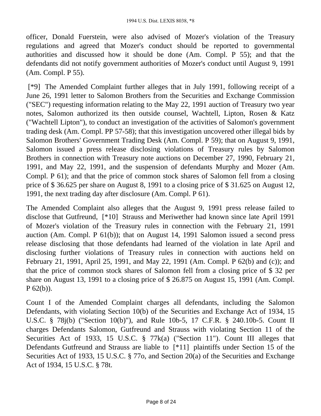officer, Donald Fuerstein, were also advised of Mozer's violation of the Treasury regulations and agreed that Mozer's conduct should be reported to governmental authorities and discussed how it should be done (Am. Compl. P 55); and that the defendants did not notify government authorities of Mozer's conduct until August 9, 1991 (Am. Compl. P 55).

 [\*9] The Amended Complaint further alleges that in July 1991, following receipt of a June 26, 1991 letter to Salomon Brothers from the Securities and Exchange Commission ("SEC") requesting information relating to the May 22, 1991 auction of Treasury two year notes, Salomon authorized its then outside counsel, Wachtell, Lipton, Rosen & Katz ("Wachtell Lipton"), to conduct an investigation of the activities of Salomon's government trading desk (Am. Compl. PP 57-58); that this investigation uncovered other illegal bids by Salomon Brothers' Government Trading Desk (Am. Compl. P 59); that on August 9, 1991, Salomon issued a press release disclosing violations of Treasury rules by Salomon Brothers in connection with Treasury note auctions on December 27, 1990, February 21, 1991, and May 22, 1991, and the suspension of defendants Murphy and Mozer (Am. Compl. P 61); and that the price of common stock shares of Salomon fell from a closing price of \$ 36.625 per share on August 8, 1991 to a closing price of \$ 31.625 on August 12, 1991, the next trading day after disclosure (Am. Compl. P 61).

The Amended Complaint also alleges that the August 9, 1991 press release failed to disclose that Gutfreund, [\*10] Strauss and Meriwether had known since late April 1991 of Mozer's violation of the Treasury rules in connection with the February 21, 1991 auction (Am. Compl. P 61(b)); that on August 14, 1991 Salomon issued a second press release disclosing that those defendants had learned of the violation in late April and disclosing further violations of Treasury rules in connection with auctions held on February 21, 1991, April 25, 1991, and May 22, 1991 (Am. Compl. P 62(b) and (c)); and that the price of common stock shares of Salomon fell from a closing price of \$ 32 per share on August 13, 1991 to a closing price of \$ 26.875 on August 15, 1991 (Am. Compl.  $P(62(b))$ .

Count I of the Amended Complaint charges all defendants, including the Salomon Defendants, with violating Section 10(b) of the Securities and Exchange Act of 1934, 15 U.S.C. § 78j(b) ("Section 10(b)"), and Rule 10b-5, 17 C.F.R. § 240.10b-5. Count II charges Defendants Salomon, Gutfreund and Strauss with violating Section 11 of the Securities Act of 1933, 15 U.S.C. § 77k(a) ("Section 11"). Count III alleges that Defendants Gutfreund and Strauss are liable to [\*11] plaintiffs under Section 15 of the Securities Act of 1933, 15 U.S.C. § 770, and Section 20(a) of the Securities and Exchange Act of 1934, 15 U.S.C. § 78t.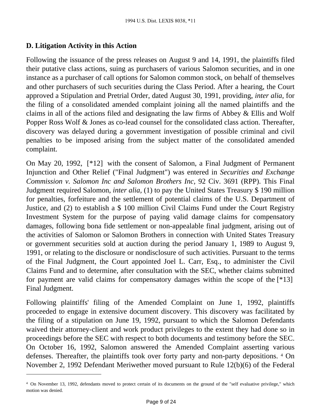## **D. Litigation Activity in this Action**

Following the issuance of the press releases on August 9 and 14, 1991, the plaintiffs filed their putative class actions, suing as purchasers of various Salomon securities, and in one instance as a purchaser of call options for Salomon common stock, on behalf of themselves and other purchasers of such securities during the Class Period. After a hearing, the Court approved a Stipulation and Pretrial Order, dated August 30, 1991, providing, *inter alia,* for the filing of a consolidated amended complaint joining all the named plaintiffs and the claims in all of the actions filed and designating the law firms of Abbey & Ellis and Wolf Popper Ross Wolf & Jones as co-lead counsel for the consolidated class action. Thereafter, discovery was delayed during a government investigation of possible criminal and civil penalties to be imposed arising from the subject matter of the consolidated amended complaint.

On May 20, 1992, [\*12] with the consent of Salomon, a Final Judgment of Permanent Injunction and Other Relief ("Final Judgment") was entered in *Securities and Exchange Commission v. Salomon Inc and Salomon Brothers Inc,* 92 Civ. 3691 (RPP). This Final Judgment required Salomon, *inter alia,* (1) to pay the United States Treasury \$ 190 million for penalties, forfeiture and the settlement of potential claims of the U.S. Department of Justice, and (2) to establish a \$ 100 million Civil Claims Fund under the Court Registry Investment System for the purpose of paying valid damage claims for compensatory damages, following bona fide settlement or non-appealable final judgment, arising out of the activities of Salomon or Salomon Brothers in connection with United States Treasury or government securities sold at auction during the period January 1, 1989 to August 9, 1991, or relating to the disclosure or nondisclosure of such activities. Pursuant to the terms of the Final Judgment, the Court appointed Joel L. Carr, Esq., to administer the Civil Claims Fund and to determine, after consultation with the SEC, whether claims submitted for payment are valid claims for compensatory damages within the scope of the [\*13] Final Judgment.

Following plaintiffs' filing of the Amended Complaint on June 1, 1992, plaintiffs proceeded to engage in extensive document discovery. This discovery was facilitated by the filing of a stipulation on June 19, 1992, pursuant to which the Salomon Defendants waived their attorney-client and work product privileges to the extent they had done so in proceedings before the SEC with respect to both documents and testimony before the SEC. On October 16, 1992, Salomon answered the Amended Complaint asserting various defenses. Thereafter, the plaintiffs took over forty party and non-party depositions. <sup>4</sup> On November 2, 1992 Defendant Meriwether moved pursuant to Rule 12(b)(6) of the Federal

<sup>4</sup>On November 13, 1992, defendants moved to protect certain of its documents on the ground of the "self evaluative privilege," which motion was denied.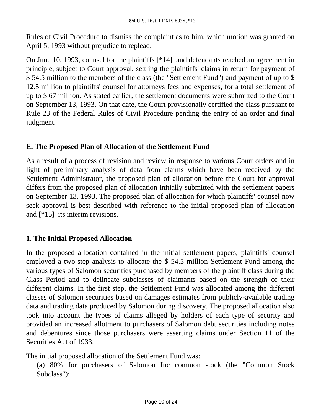Rules of Civil Procedure to dismiss the complaint as to him, which motion was granted on April 5, 1993 without prejudice to replead.

On June 10, 1993, counsel for the plaintiffs [\*14] and defendants reached an agreement in principle, subject to Court approval, settling the plaintiffs' claims in return for payment of \$ 54.5 million to the members of the class (the "Settlement Fund") and payment of up to \$ 12.5 million to plaintiffs' counsel for attorneys fees and expenses, for a total settlement of up to \$ 67 million. As stated earlier, the settlement documents were submitted to the Court on September 13, 1993. On that date, the Court provisionally certified the class pursuant to Rule 23 of the Federal Rules of Civil Procedure pending the entry of an order and final judgment.

#### **E. The Proposed Plan of Allocation of the Settlement Fund**

As a result of a process of revision and review in response to various Court orders and in light of preliminary analysis of data from claims which have been received by the Settlement Administrator, the proposed plan of allocation before the Court for approval differs from the proposed plan of allocation initially submitted with the settlement papers on September 13, 1993. The proposed plan of allocation for which plaintiffs' counsel now seek approval is best described with reference to the initial proposed plan of allocation and [\*15] its interim revisions.

#### **1. The Initial Proposed Allocation**

In the proposed allocation contained in the initial settlement papers, plaintiffs' counsel employed a two-step analysis to allocate the \$ 54.5 million Settlement Fund among the various types of Salomon securities purchased by members of the plaintiff class during the Class Period and to delineate subclasses of claimants based on the strength of their different claims. In the first step, the Settlement Fund was allocated among the different classes of Salomon securities based on damages estimates from publicly-available trading data and trading data produced by Salomon during discovery. The proposed allocation also took into account the types of claims alleged by holders of each type of security and provided an increased allotment to purchasers of Salomon debt securities including notes and debentures since those purchasers were asserting claims under Section 11 of the Securities Act of 1933.

The initial proposed allocation of the Settlement Fund was:

(a) 80% for purchasers of Salomon Inc common stock (the "Common Stock Subclass");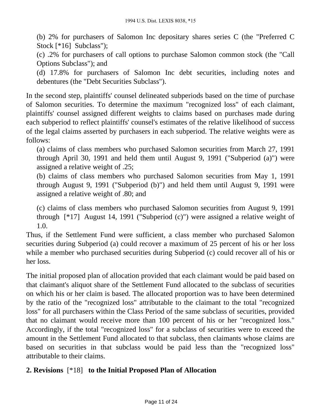(b) 2% for purchasers of Salomon Inc depositary shares series C (the "Preferred C Stock [\*16] Subclass");

(c) .2% for purchasers of call options to purchase Salomon common stock (the "Call Options Subclass"); and

(d) 17.8% for purchasers of Salomon Inc debt securities, including notes and debentures (the "Debt Securities Subclass").

In the second step, plaintiffs' counsel delineated subperiods based on the time of purchase of Salomon securities. To determine the maximum "recognized loss" of each claimant, plaintiffs' counsel assigned different weights to claims based on purchases made during each subperiod to reflect plaintiffs' counsel's estimates of the relative likelihood of success of the legal claims asserted by purchasers in each subperiod. The relative weights were as follows:

(a) claims of class members who purchased Salomon securities from March 27, 1991 through April 30, 1991 and held them until August 9, 1991 ("Subperiod (a)") were assigned a relative weight of .25;

(b) claims of class members who purchased Salomon securities from May 1, 1991 through August 9, 1991 ("Subperiod (b)") and held them until August 9, 1991 were assigned a relative weight of .80; and

(c) claims of class members who purchased Salomon securities from August 9, 1991 through [\*17] August 14, 1991 ("Subperiod (c)") were assigned a relative weight of 1.0.

Thus, if the Settlement Fund were sufficient, a class member who purchased Salomon securities during Subperiod (a) could recover a maximum of 25 percent of his or her loss while a member who purchased securities during Subperiod (c) could recover all of his or her loss.

The initial proposed plan of allocation provided that each claimant would be paid based on that claimant's aliquot share of the Settlement Fund allocated to the subclass of securities on which his or her claim is based. The allocated proportion was to have been determined by the ratio of the "recognized loss" attributable to the claimant to the total "recognized loss" for all purchasers within the Class Period of the same subclass of securities, provided that no claimant would receive more than 100 percent of his or her "recognized loss." Accordingly, if the total "recognized loss" for a subclass of securities were to exceed the amount in the Settlement Fund allocated to that subclass, then claimants whose claims are based on securities in that subclass would be paid less than the "recognized loss" attributable to their claims.

# **2. Revisions** [\*18] **to the Initial Proposed Plan of Allocation**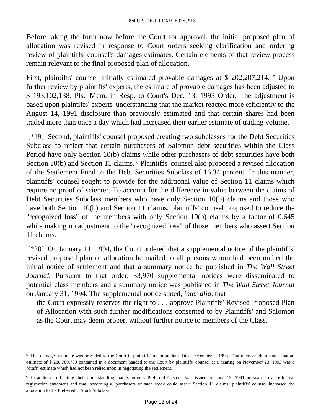Before taking the form now before the Court for approval, the initial proposed plan of allocation was revised in response to Court orders seeking clarification and ordering review of plaintiffs' counsel's damages estimates. Certain elements of that review process remain relevant to the final proposed plan of allocation.

First, plaintiffs' counsel initially estimated provable damages at \$ 202,207,214.<sup>5</sup> Upon further review by plaintiffs' experts, the estimate of provable damages has been adjusted to \$ 193,102,138. Pls.' Mem. in Resp. to Court's Dec. 13, 1993 Order. The adjustment is based upon plaintiffs' experts' understanding that the market reacted more efficiently to the August 14, 1991 disclosure than previously estimated and that certain shares had been traded more than once a day which had increased their earlier estimate of trading volume.

 [\*19] Second, plaintiffs' counsel proposed creating two subclasses for the Debt Securities Subclass to reflect that certain purchasers of Salomon debt securities within the Class Period have only Section 10(b) claims while other purchasers of debt securities have both Section 10(b) and Section 11 claims. <sup>6</sup> Plaintiffs' counsel also proposed a revised allocation of the Settlement Fund to the Debt Securities Subclass of 16.34 percent. In this manner, plaintiffs' counsel sought to provide for the additional value of Section 11 claims which require no proof of scienter. To account for the difference in value between the claims of Debt Securities Subclass members who have only Section 10(b) claims and those who have both Section 10(b) and Section 11 claims, plaintiffs' counsel proposed to reduce the "recognized loss" of the members with only Section 10(b) claims by a factor of 0.645 while making no adjustment to the "recognized loss" of those members who assert Section 11 claims.

 [\*20] On January 11, 1994, the Court ordered that a supplemental notice of the plaintiffs' revised proposed plan of allocation be mailed to all persons whom had been mailed the initial notice of settlement and that a summary notice be published in *The Wall Street Journal.* Pursuant to that order, 33,970 supplemental notices were disseminated to potential class members and a summary notice was published in *The Wall Street Journal* on January 31, 1994. The supplemental notice stated, *inter alia,* that

the Court expressly reserves the right to . . . approve Plaintiffs' Revised Proposed Plan of Allocation with such further modifications consented to by Plaintiffs' and Salomon as the Court may deem proper, without further notice to members of the Class.

<sup>5</sup>This damages estimate was provided to the Court in plaintiffs' memorandum dated December 2, 1993. That memorandum stated that an estimate of \$ 288,789,783 contained in a document handed to the Court by plaintiffs' counsel at a hearing on November 23, 1993 was a "draft" estimate which had not been relied upon in negotiating the settlement.

<sup>&</sup>lt;sup>6</sup> In addition, reflecting their understanding that Salomon's Preferred C stock was issued on June 13, 1991 pursuant to an effective registration statement and that, accordingly, purchasers of such stock could assert Section 11 claims, plaintiffs' counsel increased the allocation to the Preferred C Stock Subclass.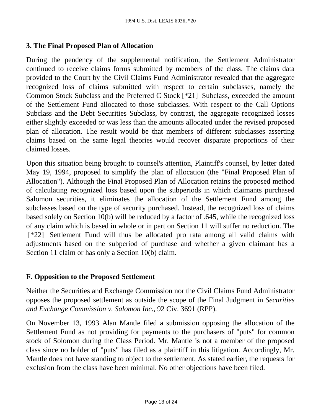#### **3. The Final Proposed Plan of Allocation**

During the pendency of the supplemental notification, the Settlement Administrator continued to receive claims forms submitted by members of the class. The claims data provided to the Court by the Civil Claims Fund Administrator revealed that the aggregate recognized loss of claims submitted with respect to certain subclasses, namely the Common Stock Subclass and the Preferred C Stock [\*21] Subclass, exceeded the amount of the Settlement Fund allocated to those subclasses. With respect to the Call Options Subclass and the Debt Securities Subclass, by contrast, the aggregate recognized losses either slightly exceeded or was less than the amounts allocated under the revised proposed plan of allocation. The result would be that members of different subclasses asserting claims based on the same legal theories would recover disparate proportions of their claimed losses.

Upon this situation being brought to counsel's attention, Plaintiff's counsel, by letter dated May 19, 1994, proposed to simplify the plan of allocation (the "Final Proposed Plan of Allocation"). Although the Final Proposed Plan of Allocation retains the proposed method of calculating recognized loss based upon the subperiods in which claimants purchased Salomon securities, it eliminates the allocation of the Settlement Fund among the subclasses based on the type of security purchased. Instead, the recognized loss of claims based solely on Section 10(b) will be reduced by a factor of .645, while the recognized loss of any claim which is based in whole or in part on Section 11 will suffer no reduction. The [\*22] Settlement Fund will thus be allocated pro rata among all valid claims with adjustments based on the subperiod of purchase and whether a given claimant has a Section 11 claim or has only a Section 10(b) claim.

# **F. Opposition to the Proposed Settlement**

Neither the Securities and Exchange Commission nor the Civil Claims Fund Administrator opposes the proposed settlement as outside the scope of the Final Judgment in *Securities and Exchange Commission v. Salomon Inc.,* 92 Civ. 3691 (RPP).

On November 13, 1993 Alan Mantle filed a submission opposing the allocation of the Settlement Fund as not providing for payments to the purchasers of "puts" for common stock of Solomon during the Class Period. Mr. Mantle is not a member of the proposed class since no holder of "puts" has filed as a plaintiff in this litigation. Accordingly, Mr. Mantle does not have standing to object to the settlement. As stated earlier, the requests for exclusion from the class have been minimal. No other objections have been filed.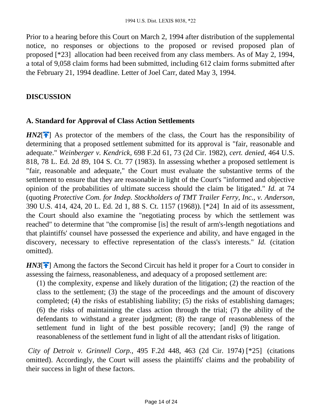Prior to a hearing before this Court on March 2, 1994 after distribution of the supplemental notice, no responses or objections to the proposed or revised proposed plan of proposed [\*23] allocation had been received from any class members. As of May 2, 1994, a total of 9,058 claim forms had been submitted, including 612 claim forms submitted after the February 21, 1994 deadline. Letter of Joel Carr, dated May 3, 1994.

## **DISCUSSION**

#### **A. Standard for Approval of Class Action Settlements**

 $H N2$ [ $\uparrow$ ] As protector of the members of the class, the Court has the responsibility of determining that a proposed settlement submitted for its approval is "fair, reasonable and adequate." *Weinberger v. Kendrick,* 698 F.2d 61, 73 (2d Cir. 1982), *cert. denied,* 464 U.S. 818, 78 L. Ed. 2d 89, 104 S. Ct. 77 (1983). In assessing whether a proposed settlement is "fair, reasonable and adequate," the Court must evaluate the substantive terms of the settlement to ensure that they are reasonable in light of the Court's "informed and objective opinion of the probabilities of ultimate success should the claim be litigated." *Id.* at 74 (quoting *Protective Com. for Indep. Stockholders of TMT Trailer Ferry, Inc., v. Anderson,* 390 U.S. 414, 424, 20 L. Ed. 2d 1, 88 S. Ct. 1157 (1968)). [\*24] In aid of its assessment, the Court should also examine the "negotiating process by which the settlement was reached" to determine that "the compromise [is] the result of arm's-length negotiations and that plaintiffs' counsel have possessed the experience and ability, and have engaged in the discovery, necessary to effective representation of the class's interests." *Id.* (citation omitted).

*HN3*<sup>[ $\uparrow$ ]</sup> Among the factors the Second Circuit has held it proper for a Court to consider in assessing the fairness, reasonableness, and adequacy of a proposed settlement are:

(1) the complexity, expense and likely duration of the litigation; (2) the reaction of the class to the settlement; (3) the stage of the proceedings and the amount of discovery completed; (4) the risks of establishing liability; (5) the risks of establishing damages; (6) the risks of maintaining the class action through the trial; (7) the ability of the defendants to withstand a greater judgment; (8) the range of reasonableness of the settlement fund in light of the best possible recovery; [and] (9) the range of reasonableness of the settlement fund in light of all the attendant risks of litigation.

*City of Detroit v. Grinnell Corp.,* 495 F.2d 448, 463 (2d Cir. 1974) [\*25] (citations omitted). Accordingly, the Court will assess the plaintiffs' claims and the probability of their success in light of these factors.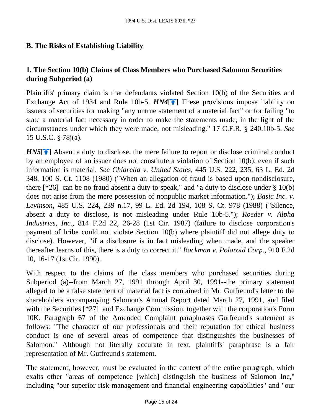# **B. The Risks of Establishing Liability**

# **1. The Section 10(b) Claims of Class Members who Purchased Salomon Securities during Subperiod (a)**

Plaintiffs' primary claim is that defendants violated Section 10(b) of the Securities and Exchange Act of 1934 and Rule 10b-5.  $HM4$ <sup>[ $\uparrow$ </sup>[\]](#page-2-0) These provisions impose liability on issuers of securities for making "any untrue statement of a material fact" or for failing "to state a material fact necessary in order to make the statements made, in the light of the circumstances under which they were made, not misleading." 17 C.F.R. § 240.10b-5. *See* 15 U.S.C. § 78j(a).

 $H N 5$ [ $\uparrow$ ] Absent a duty to disclose, the mere failure to report or disclose criminal conduct by an employee of an issuer does not constitute a violation of Section 10(b), even if such information is material. *See Chiarella v. United States,* 445 U.S. 222, 235, 63 L. Ed. 2d 348, 100 S. Ct. 1108 (1980) ("When an allegation of fraud is based upon nondisclosure, there  $[^*26]$  can be no fraud absent a duty to speak," and "a duty to disclose under § 10(b) does not arise from the mere possession of nonpublic market information."); *Basic Inc. v. Levinson,* 485 U.S. 224, 239 n.17, 99 L. Ed. 2d 194, 108 S. Ct. 978 (1988) ("Silence, absent a duty to disclose, is not misleading under Rule 10b-5."); *Roeder v. Alpha Industries, Inc.,* 814 F.2d 22, 26-28 (1st Cir. 1987) (failure to disclose corporation's payment of bribe could not violate Section 10(b) where plaintiff did not allege duty to disclose). However, "if a disclosure is in fact misleading when made, and the speaker thereafter learns of this, there is a duty to correct it." *Backman v. Polaroid Corp.,* 910 F.2d 10, 16-17 (1st Cir. 1990).

With respect to the claims of the class members who purchased securities during Subperiod (a)--from March 27, 1991 through April 30, 1991--the primary statement alleged to be a false statement of material fact is contained in Mr. Gutfreund's letter to the shareholders accompanying Salomon's Annual Report dated March 27, 1991, and filed with the Securities [\*27] and Exchange Commission, together with the corporation's Form 10K. Paragraph 67 of the Amended Complaint paraphrases Gutfreund's statement as follows: "The character of our professionals and their reputation for ethical business conduct is one of several areas of competence that distinguishes the businesses of Salomon." Although not literally accurate in text, plaintiffs' paraphrase is a fair representation of Mr. Gutfreund's statement.

The statement, however, must be evaluated in the context of the entire paragraph, which exalts other "areas of competence [which] distinguish the business of Salomon Inc," including "our superior risk-management and financial engineering capabilities" and "our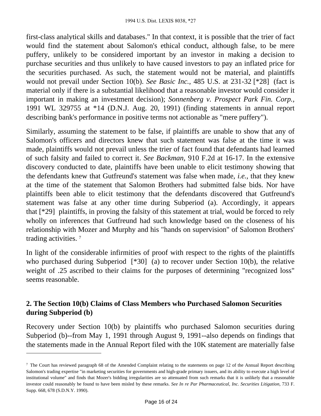first-class analytical skills and databases." In that context, it is possible that the trier of fact would find the statement about Salomon's ethical conduct, although false, to be mere puffery, unlikely to be considered important by an investor in making a decision to purchase securities and thus unlikely to have caused investors to pay an inflated price for the securities purchased. As such, the statement would not be material, and plaintiffs would not prevail under Section 10(b). *See Basic Inc.,* 485 U.S. at 231-32 [\*28] (fact is material only if there is a substantial likelihood that a reasonable investor would consider it important in making an investment decision); *Sonnenberg v. Prospect Park Fin. Corp.,* 1991 WL 329755 at \*14 (D.N.J. Aug. 20, 1991) (finding statements in annual report describing bank's performance in positive terms not actionable as "mere puffery").

Similarly, assuming the statement to be false, if plaintiffs are unable to show that any of Salomon's officers and directors knew that such statement was false at the time it was made, plaintiffs would not prevail unless the trier of fact found that defendants had learned of such falsity and failed to correct it. *See Backman,* 910 F.2d at 16-17. In the extensive discovery conducted to date, plaintiffs have been unable to elicit testimony showing that the defendants knew that Gutfreund's statement was false when made, *i.e.,* that they knew at the time of the statement that Salomon Brothers had submitted false bids. Nor have plaintiffs been able to elicit testimony that the defendants discovered that Gutfreund's statement was false at any other time during Subperiod (a). Accordingly, it appears that [\*29] plaintiffs, in proving the falsity of this statement at trial, would be forced to rely wholly on inferences that Gutfreund had such knowledge based on the closeness of his relationship with Mozer and Murphy and his "hands on supervision" of Salomon Brothers' trading activities. <sup>7</sup>

In light of the considerable infirmities of proof with respect to the rights of the plaintiffs who purchased during Subperiod [\*30] (a) to recover under Section 10(b), the relative weight of .25 ascribed to their claims for the purposes of determining "recognized loss" seems reasonable.

#### **2. The Section 10(b) Claims of Class Members who Purchased Salomon Securities during Subperiod (b)**

Recovery under Section 10(b) by plaintiffs who purchased Salomon securities during Subperiod (b)--from May 1, 1991 through August 9, 1991--also depends on findings that the statements made in the Annual Report filed with the 10K statement are materially false

<sup>&</sup>lt;sup>7</sup> The Court has reviewed paragraph 68 of the Amended Complaint relating to the statements on page 12 of the Annual Report describing Salomon's trading expertise "in marketing securities for governments and high-grade primary issuers, and its ability to execute a high level of institutional volume" and finds that Mozer's bidding irregularities are so attenuated from such remarks that it is unlikely that a reasonable investor could reasonably be found to have been misled by these remarks. *See In re Par Pharmaceutical, Inc. Securities Litigation,* 733 F. Supp. 668, 678 (S.D.N.Y. 1990).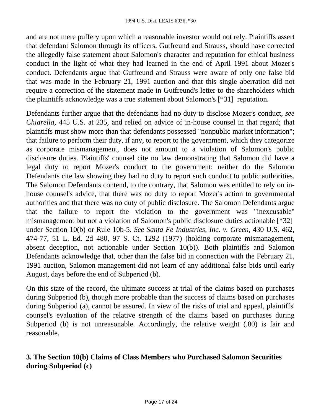and are not mere puffery upon which a reasonable investor would not rely. Plaintiffs assert that defendant Salomon through its officers, Gutfreund and Strauss, should have corrected the allegedly false statement about Salomon's character and reputation for ethical business conduct in the light of what they had learned in the end of April 1991 about Mozer's conduct. Defendants argue that Gutfreund and Strauss were aware of only one false bid that was made in the February 21, 1991 auction and that this single aberration did not require a correction of the statement made in Gutfreund's letter to the shareholders which the plaintiffs acknowledge was a true statement about Salomon's [\*31] reputation.

Defendants further argue that the defendants had no duty to disclose Mozer's conduct, *see Chiarella,* 445 U.S. at 235, and relied on advice of in-house counsel in that regard; that plaintiffs must show more than that defendants possessed "nonpublic market information"; that failure to perform their duty, if any, to report to the government, which they categorize as corporate mismanagement, does not amount to a violation of Salomon's public disclosure duties. Plaintiffs' counsel cite no law demonstrating that Salomon did have a legal duty to report Mozer's conduct to the government; neither do the Salomon Defendants cite law showing they had no duty to report such conduct to public authorities. The Salomon Defendants contend, to the contrary, that Salomon was entitled to rely on inhouse counsel's advice, that there was no duty to report Mozer's action to governmental authorities and that there was no duty of public disclosure. The Salomon Defendants argue that the failure to report the violation to the government was "inexcusable" mismanagement but not a violation of Salomon's public disclosure duties actionable [\*32] under Section 10(b) or Rule 10b-5. *See Santa Fe Industries, Inc. v. Green,* 430 U.S. 462, 474-77, 51 L. Ed. 2d 480, 97 S. Ct. 1292 (1977) (holding corporate mismanagement, absent deception, not actionable under Section 10(b)). Both plaintiffs and Salomon Defendants acknowledge that, other than the false bid in connection with the February 21, 1991 auction, Salomon management did not learn of any additional false bids until early August, days before the end of Subperiod (b).

On this state of the record, the ultimate success at trial of the claims based on purchases during Subperiod (b), though more probable than the success of claims based on purchases during Subperiod (a), cannot be assured. In view of the risks of trial and appeal, plaintiffs' counsel's evaluation of the relative strength of the claims based on purchases during Subperiod (b) is not unreasonable. Accordingly, the relative weight (.80) is fair and reasonable.

# **3. The Section 10(b) Claims of Class Members who Purchased Salomon Securities during Subperiod (c)**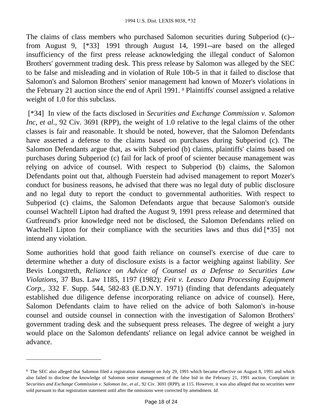The claims of class members who purchased Salomon securities during Subperiod (c)- from August 9, [\*33] 1991 through August 14, 1991--are based on the alleged insufficiency of the first press release acknowledging the illegal conduct of Salomon Brothers' government trading desk. This press release by Salomon was alleged by the SEC to be false and misleading and in violation of Rule 10b-5 in that it failed to disclose that Salomon's and Salomon Brothers' senior management had known of Mozer's violations in the February 21 auction since the end of April 1991. <sup>8</sup> Plaintiffs' counsel assigned a relative weight of 1.0 for this subclass.

 [\*34] In view of the facts disclosed in *Securities and Exchange Commission v. Salomon Inc, et al.,* 92 Civ. 3691 (RPP), the weight of 1.0 relative to the legal claims of the other classes is fair and reasonable. It should be noted, however, that the Salomon Defendants have asserted a defense to the claims based on purchases during Subperiod (c). The Salomon Defendants argue that, as with Subperiod (b) claims, plaintiffs' claims based on purchases during Subperiod (c) fail for lack of proof of scienter because management was relying on advice of counsel. With respect to Subperiod (b) claims, the Salomon Defendants point out that, although Fuerstein had advised management to report Mozer's conduct for business reasons, he advised that there was no legal duty of public disclosure and no legal duty to report the conduct to governmental authorities. With respect to Subperiod (c) claims, the Salomon Defendants argue that because Salomon's outside counsel Wachtell Lipton had drafted the August 9, 1991 press release and determined that Gutfreund's prior knowledge need not be disclosed, the Salomon Defendants relied on Wachtell Lipton for their compliance with the securities laws and thus did [\*35] not intend any violation.

Some authorities hold that good faith reliance on counsel's exercise of due care to determine whether a duty of disclosure exists is a factor weighing against liability. *See* Bevis Longstreth, *Reliance on Advice of Counsel as a Defense to Securities Law Violations,* 37 Bus. Law 1185, 1197 (1982); *Feit v. Leasco Data Processing Equipment Corp.,* 332 F. Supp. 544, 582-83 (E.D.N.Y. 1971) (finding that defendants adequately established due diligence defense incorporating reliance on advice of counsel). Here, Salomon Defendants claim to have relied on the advice of both Salomon's in-house counsel and outside counsel in connection with the investigation of Salomon Brothers' government trading desk and the subsequent press releases. The degree of weight a jury would place on the Salomon defendants' reliance on legal advice cannot be weighed in advance.

<sup>8</sup>The SEC also alleged that Salomon filed a registration statement on July 29, 1991 which became effective on August 8, 1991 and which also failed to disclose the knowledge of Salomon senior management of the false bid in the February 21, 1991 auction. Complaint in *Securities and Exchange Commission v. Salomon Inc, et al.,* 92 Civ. 3691 (RPP), at 115. However, it was also alleged that no securities were sold pursuant to that registration statement until after the omissions were corrected by amendment. *Id.*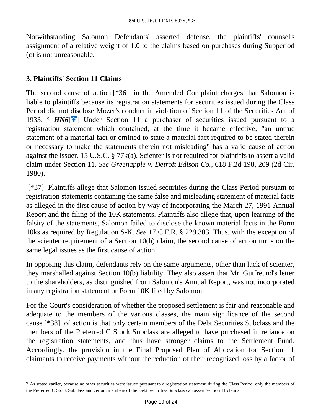Notwithstanding Salomon Defendants' asserted defense, the plaintiffs' counsel's assignment of a relative weight of 1.0 to the claims based on purchases during Subperiod (c) is not unreasonable.

#### **3. Plaintiffs' Section 11 Claims**

The second cause of action [\*36] in the Amended Complaint charges that Salomon is liable to plaintiffs because its registration statements for securities issued during the Class Period did not disclose Mozer's conduct in violation of Section 11 of the Securities Act of 1933. *PHN6*<sup>[\[](#page-2-1)4]</sup> Under Section 11 a purchaser of securities issued pursuant to a registration statement which contained, at the time it became effective, "an untrue statement of a material fact or omitted to state a material fact required to be stated therein or necessary to make the statements therein not misleading" has a valid cause of action against the issuer. 15 U.S.C. § 77k(a). Scienter is not required for plaintiffs to assert a valid claim under Section 11. *See Greenapple v. Detroit Edison Co.,* 618 F.2d 198, 209 (2d Cir. 1980).

 [\*37] Plaintiffs allege that Salomon issued securities during the Class Period pursuant to registration statements containing the same false and misleading statement of material facts as alleged in the first cause of action by way of incorporating the March 27, 1991 Annual Report and the filing of the 10K statements. Plaintiffs also allege that, upon learning of the falsity of the statements, Salomon failed to disclose the known material facts in the Form 10ks as required by Regulation S-K. *See* 17 C.F.R. § 229.303. Thus, with the exception of the scienter requirement of a Section 10(b) claim, the second cause of action turns on the same legal issues as the first cause of action.

In opposing this claim, defendants rely on the same arguments, other than lack of scienter, they marshalled against Section 10(b) liability. They also assert that Mr. Gutfreund's letter to the shareholders, as distinguished from Salomon's Annual Report, was not incorporated in any registration statement or Form 10K filed by Salomon.

For the Court's consideration of whether the proposed settlement is fair and reasonable and adequate to the members of the various classes, the main significance of the second cause [\*38] of action is that only certain members of the Debt Securities Subclass and the members of the Preferred C Stock Subclass are alleged to have purchased in reliance on the registration statements, and thus have stronger claims to the Settlement Fund. Accordingly, the provision in the Final Proposed Plan of Allocation for Section 11 claimants to receive payments without the reduction of their recognized loss by a factor of

<sup>&</sup>lt;sup>9</sup> As stated earlier, because no other securities were issued pursuant to a registration statement during the Class Period, only the members of the Preferred C Stock Subclass and certain members of the Debt Securities Subclass can assert Section 11 claims.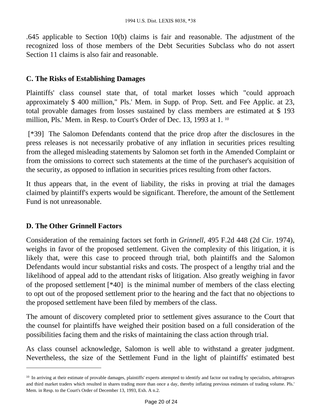.645 applicable to Section 10(b) claims is fair and reasonable. The adjustment of the recognized loss of those members of the Debt Securities Subclass who do not assert Section 11 claims is also fair and reasonable.

#### **C. The Risks of Establishing Damages**

Plaintiffs' class counsel state that, of total market losses which "could approach approximately \$ 400 million," Pls.' Mem. in Supp. of Prop. Sett. and Fee Applic. at 23, total provable damages from losses sustained by class members are estimated at \$ 193 million, Pls.' Mem. in Resp. to Court's Order of Dec. 13, 1993 at 1. <sup>10</sup>

 [\*39] The Salomon Defendants contend that the price drop after the disclosures in the press releases is not necessarily probative of any inflation in securities prices resulting from the alleged misleading statements by Salomon set forth in the Amended Complaint or from the omissions to correct such statements at the time of the purchaser's acquisition of the security, as opposed to inflation in securities prices resulting from other factors.

It thus appears that, in the event of liability, the risks in proving at trial the damages claimed by plaintiff's experts would be significant. Therefore, the amount of the Settlement Fund is not unreasonable.

#### **D. The Other Grinnell Factors**

Consideration of the remaining factors set forth in *Grinnell,* 495 F.2d 448 (2d Cir. 1974), weighs in favor of the proposed settlement. Given the complexity of this litigation, it is likely that, were this case to proceed through trial, both plaintiffs and the Salomon Defendants would incur substantial risks and costs. The prospect of a lengthy trial and the likelihood of appeal add to the attendant risks of litigation. Also greatly weighing in favor of the proposed settlement [\*40] is the minimal number of members of the class electing to opt out of the proposed settlement prior to the hearing and the fact that no objections to the proposed settlement have been filed by members of the class.

The amount of discovery completed prior to settlement gives assurance to the Court that the counsel for plaintiffs have weighed their position based on a full consideration of the possibilities facing them and the risks of maintaining the class action through trial.

As class counsel acknowledge, Salomon is well able to withstand a greater judgment. Nevertheless, the size of the Settlement Fund in the light of plaintiffs' estimated best

<sup>&</sup>lt;sup>10</sup> In arriving at their estimate of provable damages, plaintiffs' experts attempted to identify and factor out trading by specialists, arbitrageurs and third market traders which resulted in shares trading more than once a day, thereby inflating previous estimates of trading volume. Pls.' Mem. in Resp. to the Court's Order of December 13, 1993, Exh. A n.2.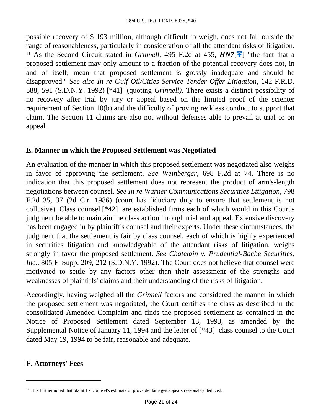possible recovery of \$ 193 million, although difficult to weigh, does not fall outside the range of reasonableness, particularly in consideration of all the attendant risks of litigation. <sup>11</sup> As the Second Circuit stated in *Grinnell*, 495 F.2d at 455,  $HNT[$ <sup> $\uparrow$ </sup>] "the fact that a proposed settlement may only amount to a fraction of the potential recovery does not, in and of itself, mean that proposed settlement is grossly inadequate and should be disapproved." *See also In re Gulf Oil/Cities Service Tender Offer Litigation,* 142 F.R.D. 588, 591 (S.D.N.Y. 1992) [\*41] (quoting *Grinnell).* There exists a distinct possibility of no recovery after trial by jury or appeal based on the limited proof of the scienter requirement of Section 10(b) and the difficulty of proving reckless conduct to support that claim. The Section 11 claims are also not without defenses able to prevail at trial or on appeal.

#### **E. Manner in which the Proposed Settlement was Negotiated**

An evaluation of the manner in which this proposed settlement was negotiated also weighs in favor of approving the settlement. *See Weinberger,* 698 F.2d at 74. There is no indication that this proposed settlement does not represent the product of arm's-length negotiations between counsel. *See In re Warner Communications Securities Litigation,* 798 F.2d 35, 37 (2d Cir. 1986) (court has fiduciary duty to ensure that settlement is not collusive). Class counsel [\*42] are established firms each of which would in this Court's judgment be able to maintain the class action through trial and appeal. Extensive discovery has been engaged in by plaintiff's counsel and their experts. Under these circumstances, the judgment that the settlement is fair by class counsel, each of which is highly experienced in securities litigation and knowledgeable of the attendant risks of litigation, weighs strongly in favor the proposed settlement. *See Chatelain v. Prudential-Bache Securities, Inc.,* 805 F. Supp. 209, 212 (S.D.N.Y. 1992). The Court does not believe that counsel were motivated to settle by any factors other than their assessment of the strengths and weaknesses of plaintiffs' claims and their understanding of the risks of litigation.

Accordingly, having weighed all the *Grinnell* factors and considered the manner in which the proposed settlement was negotiated, the Court certifies the class as described in the consolidated Amended Complaint and finds the proposed settlement as contained in the Notice of Proposed Settlement dated September 13, 1993, as amended by the Supplemental Notice of January 11, 1994 and the letter of [\*43] class counsel to the Court dated May 19, 1994 to be fair, reasonable and adequate.

# **F. Attorneys' Fees**

<sup>&</sup>lt;sup>11</sup> It is further noted that plaintiffs' counsel's estimate of provable damages appears reasonably deduced.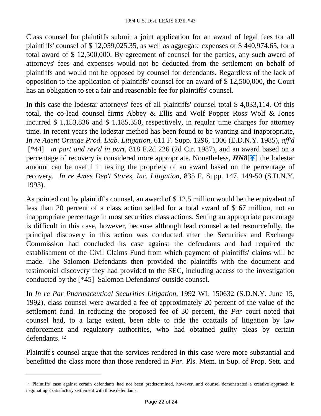Class counsel for plaintiffs submit a joint application for an award of legal fees for all plaintiffs' counsel of \$ 12,059,025.35, as well as aggregate expenses of \$ 440,974.65, for a total award of \$ 12,500,000. By agreement of counsel for the parties, any such award of attorneys' fees and expenses would not be deducted from the settlement on behalf of plaintiffs and would not be opposed by counsel for defendants. Regardless of the lack of opposition to the application of plaintiffs' counsel for an award of \$ 12,500,000, the Court has an obligation to set a fair and reasonable fee for plaintiffs' counsel.

In this case the lodestar attorneys' fees of all plaintiffs' counsel total \$ 4,033,114. Of this total, the co-lead counsel firms Abbey & Ellis and Wolf Popper Ross Wolf & Jones incurred \$ 1,153,836 and \$ 1,185,350, respectively, in regular time charges for attorney time. In recent years the lodestar method has been found to be wanting and inappropriate, *In re Agent Orange Prod. Liab. Litigation,* 611 F. Supp. 1296, 1306 (E.D.N.Y. 1985), *aff'd* [\*44] *in part and rev'd in part,* 818 F.2d 226 (2d Cir. 1987), and an award based on a percentage of recovery is considered more appropriate. Nonetheless,  $HNS[\rightarrow]$  the lodestar amount can be useful in testing the propriety of an award based on the percentage of recovery. *In re Ames Dep't Stores, Inc. Litigation,* 835 F. Supp. 147, 149-50 (S.D.N.Y. 1993).

As pointed out by plaintiff's counsel, an award of \$ 12.5 million would be the equivalent of less than 20 percent of a class action settled for a total award of \$ 67 million, not an inappropriate percentage in most securities class actions. Setting an appropriate percentage is difficult in this case, however, because although lead counsel acted resourcefully, the principal discovery in this action was conducted after the Securities and Exchange Commission had concluded its case against the defendants and had required the establishment of the Civil Claims Fund from which payment of plaintiffs' claims will be made. The Salomon Defendants then provided the plaintiffs with the document and testimonial discovery they had provided to the SEC, including access to the investigation conducted by the [\*45] Salomon Defendants' outside counsel.

In *In re Par Pharmaceutical Securities Litigation,* 1992 WL 150632 (S.D.N.Y. June 15, 1992), class counsel were awarded a fee of approximately 20 percent of the value of the settlement fund. In reducing the proposed fee of 30 percent, the *Par* court noted that counsel had, to a large extent, been able to ride the coattails of litigation by law enforcement and regulatory authorities, who had obtained guilty pleas by certain defendants. <sup>12</sup>

Plaintiff's counsel argue that the services rendered in this case were more substantial and benefitted the class more than those rendered in *Par.* Pls. Mem. in Sup. of Prop. Sett. and

<sup>&</sup>lt;sup>12</sup> Plaintiffs' case against certain defendants had not been predetermined, however, and counsel demonstrated a creative approach in negotiating a satisfactory settlement with those defendants.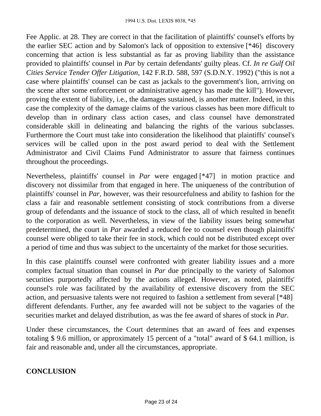Fee Applic. at 28. They are correct in that the facilitation of plaintiffs' counsel's efforts by the earlier SEC action and by Salomon's lack of opposition to extensive [\*46] discovery concerning that action is less substantial as far as proving liability than the assistance provided to plaintiffs' counsel in *Par* by certain defendants' guilty pleas. Cf. *In re Gulf Oil Cities Service Tender Offer Litigation,* 142 F.R.D. 588, 597 (S.D.N.Y. 1992) ("this is not a case where plaintiffs' counsel can be cast as jackals to the government's lion, arriving on the scene after some enforcement or administrative agency has made the kill"). However, proving the extent of liability, i.e., the damages sustained, is another matter. Indeed, in this case the complexity of the damage claims of the various classes has been more difficult to develop than in ordinary class action cases, and class counsel have demonstrated considerable skill in delineating and balancing the rights of the various subclasses. Furthermore the Court must take into consideration the likelihood that plaintiffs' counsel's services will be called upon in the post award period to deal with the Settlement Administrator and Civil Claims Fund Administrator to assure that fairness continues throughout the proceedings.

Nevertheless, plaintiffs' counsel in *Par* were engaged [\*47] in motion practice and discovery not dissimilar from that engaged in here. The uniqueness of the contribution of plaintiffs' counsel in *Par,* however, was their resourcefulness and ability to fashion for the class a fair and reasonable settlement consisting of stock contributions from a diverse group of defendants and the issuance of stock to the class, all of which resulted in benefit to the corporation as well. Nevertheless, in view of the liability issues being somewhat predetermined, the court in *Par* awarded a reduced fee to counsel even though plaintiffs' counsel were obliged to take their fee in stock, which could not be distributed except over a period of time and thus was subject to the uncertainty of the market for those securities.

In this case plaintiffs counsel were confronted with greater liability issues and a more complex factual situation than counsel in *Par* due principally to the variety of Salomon securities purportedly affected by the actions alleged. However, as noted, plaintiffs' counsel's role was facilitated by the availability of extensive discovery from the SEC action, and persuasive talents were not required to fashion a settlement from several [\*48] different defendants. Further, any fee awarded will not be subject to the vagaries of the securities market and delayed distribution, as was the fee award of shares of stock in *Par.*

Under these circumstances, the Court determines that an award of fees and expenses totaling \$ 9.6 million, or approximately 15 percent of a "total" award of \$ 64.1 million, is fair and reasonable and, under all the circumstances, appropriate.

# **CONCLUSION**